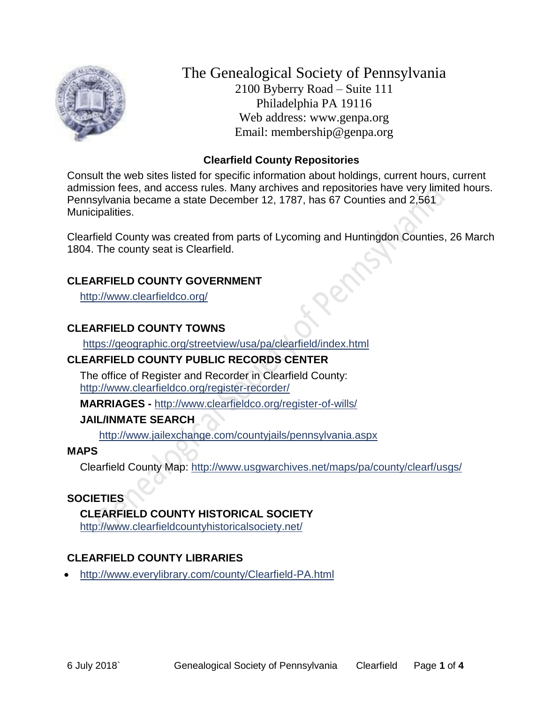

The Genealogical Society of Pennsylvania 2100 Byberry Road – Suite 111 Philadelphia PA 19116 Web address: www.genpa.org Email: membership@genpa.org

### **Clearfield County Repositories**

Consult the web sites listed for specific information about holdings, current hours, current admission fees, and access rules. Many archives and repositories have very limited hours. Pennsylvania became a state December 12, 1787, has 67 Counties and 2,561 Municipalities.

Clearfield County was created from parts of Lycoming and Huntingdon Counties, 26 March 1804. The county seat is Clearfield.

### **CLEARFIELD COUNTY GOVERNMENT**

<http://www.clearfieldco.org/>

## **CLEARFIELD COUNTY TOWNS**

<https://geographic.org/streetview/usa/pa/clearfield/index.html>

## **CLEARFIELD COUNTY PUBLIC RECORDS CENTER**

The office of Register and Recorder in Clearfield County: <http://www.clearfieldco.org/register-recorder/>

**MARRIAGES -** <http://www.clearfieldco.org/register-of-wills/>

## **JAIL/INMATE SEARCH**

<http://www.jailexchange.com/countyjails/pennsylvania.aspx>

### **MAPS**

Clearfield County Map:<http://www.usgwarchives.net/maps/pa/county/clearf/usgs/>

### **SOCIETIES**

**CLEARFIELD COUNTY HISTORICAL SOCIETY** <http://www.clearfieldcountyhistoricalsociety.net/>

# **CLEARFIELD COUNTY LIBRARIES**

<http://www.everylibrary.com/county/Clearfield-PA.html>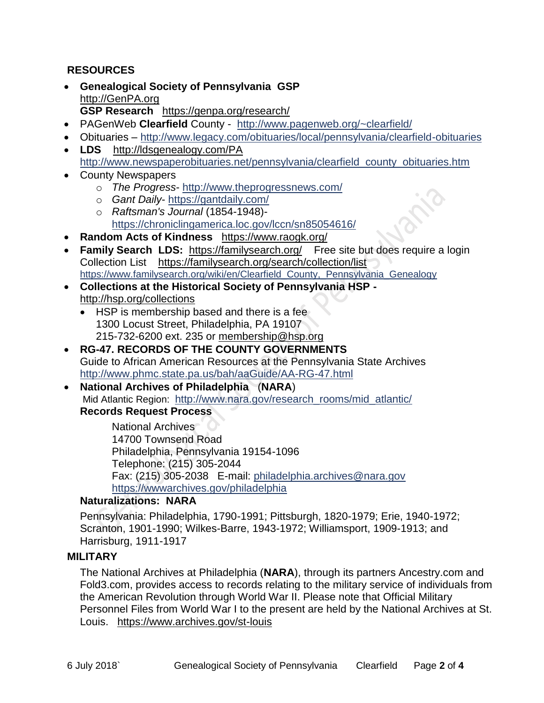### **RESOURCES**

- **Genealogical Society of Pennsylvania GSP** [http://GenPA.org](http://genpa.org/) **GSP Research** <https://genpa.org/research/>
- PAGenWeb **Clearfield** County <http://www.pagenweb.org/~clearfield/>
- Obituaries <http://www.legacy.com/obituaries/local/pennsylvania/clearfield-obituaries>
- **LDS** <http://ldsgenealogy.com/PA> [http://www.newspaperobituaries.net/pennsylvania/clearfield\\_county\\_obituaries.htm](http://www.newspaperobituaries.net/pennsylvania/clearfield_county_obituaries.htm)
- County Newspapers
	- o *The Progress* <http://www.theprogressnews.com/>
	- o *Gant Daily* <https://gantdaily.com/>
	- o *Raftsman's Journal* (1854-1948) <https://chroniclingamerica.loc.gov/lccn/sn85054616/>
- **Random Acts of Kindness** <https://www.raogk.org/>
- **Family Search LDS:** <https://familysearch.org/>Free site but does require a login Collection List <https://familysearch.org/search/collection/list> [https://www.familysearch.org/wiki/en/Clearfield\\_County,\\_Pennsylvania\\_Genealogy](https://www.familysearch.org/wiki/en/Clearfield_County,_Pennsylvania_Genealogy)
- **Collections at the Historical Society of Pennsylvania HSP**  <http://hsp.org/collections>
	- HSP is membership based and there is a fee 1300 Locust Street, Philadelphia, PA 19107 215-732-6200 ext. 235 or [membership@hsp.org](mailto:membership@hsp.org)
- **RG-47. RECORDS OF THE COUNTY GOVERNMENTS** Guide to African American Resources at the Pennsylvania State Archives <http://www.phmc.state.pa.us/bah/aaGuide/AA-RG-47.html>
- **National Archives of Philadelphia** (**NARA**) Mid Atlantic Region: [http://www.nara.gov/research\\_rooms/mid\\_atlantic/](http://www.nara.gov/research_rooms/mid_atlantic/) **Records Request Process**

National Archives 14700 Townsend Road Philadelphia, Pennsylvania 19154-1096 Telephone: (215) 305-2044 Fax: (215) 305-2038 E-mail: [philadelphia.archives@nara.gov](mailto:philadelphia.archives@nara.gov) <https://wwwarchives.gov/philadelphia>

### **Naturalizations: NARA**

Pennsylvania: Philadelphia, 1790-1991; Pittsburgh, 1820-1979; Erie, 1940-1972; Scranton, 1901-1990; Wilkes-Barre, 1943-1972; Williamsport, 1909-1913; and Harrisburg, 1911-1917

### **MILITARY**

The National Archives at Philadelphia (**NARA**), through its partners Ancestry.com and Fold3.com, provides access to records relating to the military service of individuals from the American Revolution through World War II. Please note that Official Military Personnel Files from World War I to the present are held by the National Archives at St. Louis. <https://www.archives.gov/st-louis>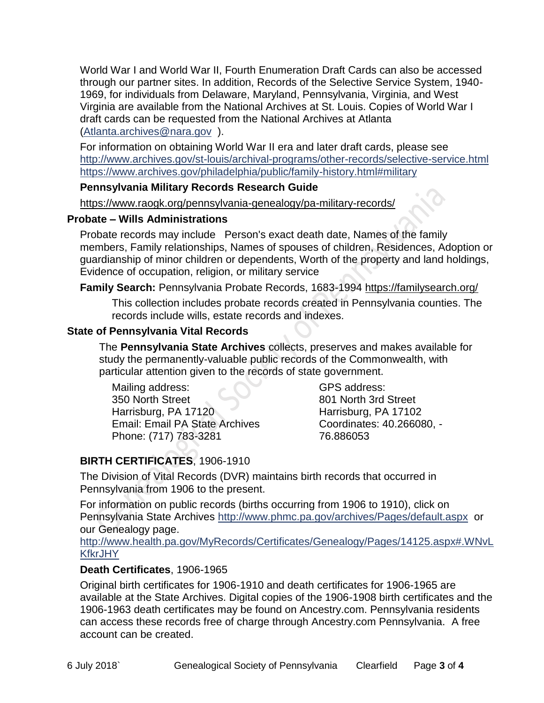World War I and World War II, Fourth Enumeration Draft Cards can also be accessed through our partner sites. In addition, Records of the Selective Service System, 1940- 1969, for individuals from Delaware, Maryland, Pennsylvania, Virginia, and West Virginia are available from the National Archives at St. Louis. Copies of World War I draft cards can be requested from the National Archives at Atlanta [\(Atlanta.archives@nara.gov](mailto:Atlanta.archives@nara.gov) ).

For information on obtaining World War II era and later draft cards, please see <http://www.archives.gov/st-louis/archival-programs/other-records/selective-service.html> <https://www.archives.gov/philadelphia/public/family-history.html#military>

#### **Pennsylvania Military Records Research Guide**

<https://www.raogk.org/pennsylvania-genealogy/pa-military-records/>

#### **Probate – Wills Administrations**

Probate records may include Person's exact death date, Names of the family members, Family relationships, Names of spouses of children, Residences, Adoption or guardianship of minor children or dependents, Worth of the property and land holdings, Evidence of occupation, religion, or military service

**Family Search:** Pennsylvania Probate Records, 1683-1994 <https://familysearch.org/>

This collection includes probate records created in Pennsylvania counties. The records include wills, estate records and indexes.

### **State of Pennsylvania Vital Records**

The **Pennsylvania State Archives** collects, preserves and makes available for study the permanently-valuable public records of the Commonwealth, with particular attention given to the records of state government.

Mailing address: 350 North Street Harrisburg, PA 17120 Email: Email PA State Archives Phone: (717) 783-3281

GPS address: 801 North 3rd Street Harrisburg, PA 17102 Coordinates: 40.266080, - 76.886053

# **BIRTH CERTIFICATES**, 1906-1910

The Division of Vital Records (DVR) maintains birth records that occurred in Pennsylvania from 1906 to the present.

For information on public records (births occurring from 1906 to 1910), click on Pennsylvania State Archives <http://www.phmc.pa.gov/archives/Pages/default.aspx>or our Genealogy page.

[http://www.health.pa.gov/MyRecords/Certificates/Genealogy/Pages/14125.aspx#.WNvL](http://www.health.pa.gov/MyRecords/Certificates/Genealogy/Pages/14125.aspx#.WNvLKfkrJHY) **[KfkrJHY](http://www.health.pa.gov/MyRecords/Certificates/Genealogy/Pages/14125.aspx#.WNvLKfkrJHY)** 

### **Death Certificates**, 1906-1965

Original birth certificates for 1906-1910 and death certificates for 1906-1965 are available at the State Archives. Digital copies of the 1906-1908 birth certificates and the 1906-1963 death certificates may be found on Ancestry.com. Pennsylvania residents can access these records free of charge through Ancestry.com Pennsylvania. A free account can be created.